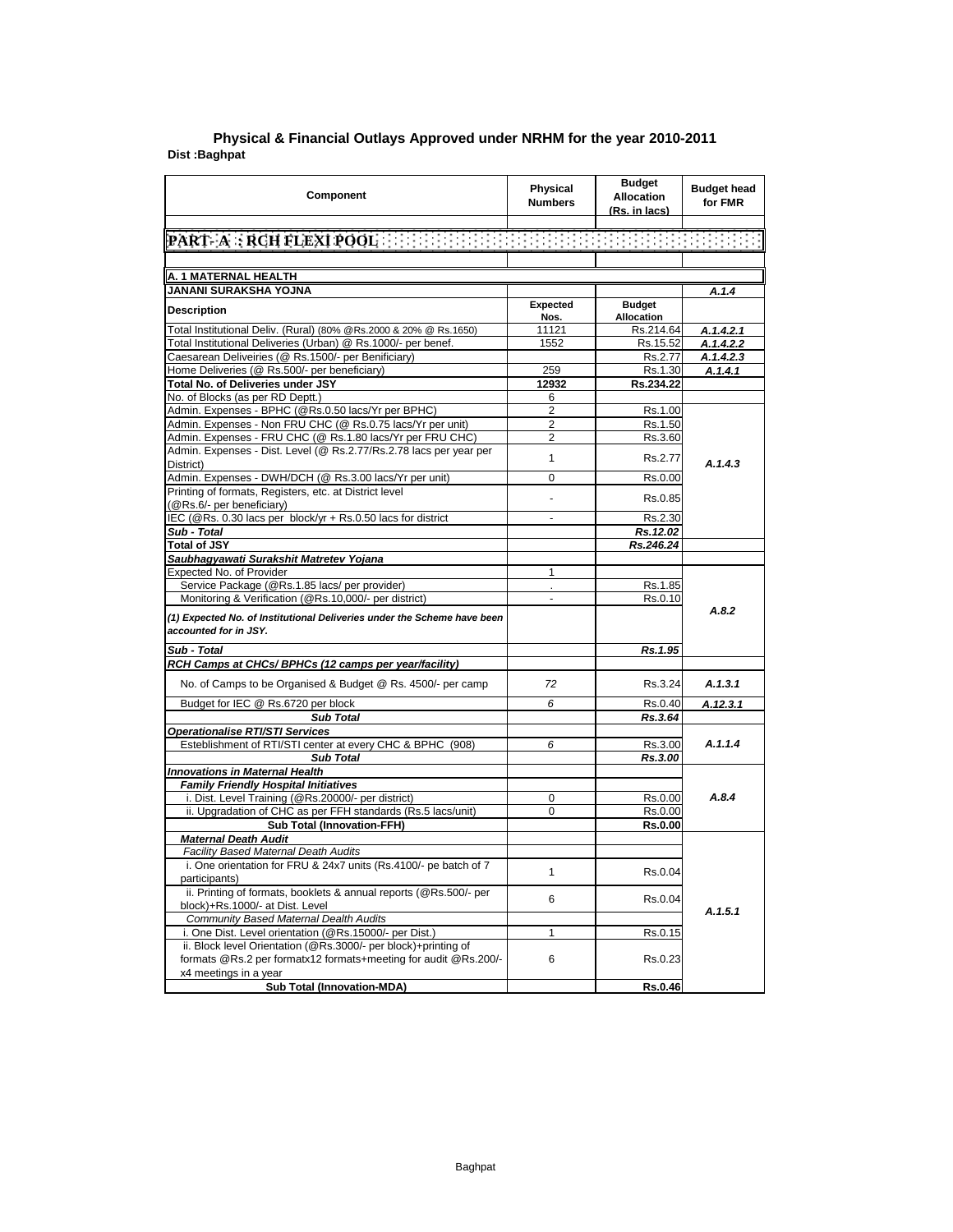| Component                                                                                                                                  | Physical<br><b>Numbers</b> | <b>Budget</b><br><b>Allocation</b><br>(Rs. in lacs) | <b>Budget head</b><br>for FMR |
|--------------------------------------------------------------------------------------------------------------------------------------------|----------------------------|-----------------------------------------------------|-------------------------------|
|                                                                                                                                            |                            |                                                     |                               |
| $\lbrack \texttt{PART-}\texttt{A} : \texttt{RCH}\texttt{FLEXI}\texttt{POOL} \rbrack$ . The set of the set of the set of the set of the set |                            |                                                     |                               |
|                                                                                                                                            |                            |                                                     |                               |
| A. 1 MATERNAL HEALTH                                                                                                                       |                            |                                                     |                               |
| JANANI SURAKSHA YOJNA                                                                                                                      |                            |                                                     | A.1.4                         |
| <b>Description</b>                                                                                                                         | Expected                   | <b>Budget</b>                                       |                               |
|                                                                                                                                            | Nos.                       | <b>Allocation</b>                                   |                               |
| Total Institutional Deliv. (Rural) (80% @Rs.2000 & 20% @ Rs.1650)                                                                          | 11121                      | Rs.214.64                                           | A.1.4.2.1                     |
| Total Institutional Deliveries (Urban) @ Rs.1000/- per benef.                                                                              | 1552                       | Rs.15.52                                            | A.1.4.2.2                     |
| Caesarean Deliveiries (@ Rs.1500/- per Benificiary)                                                                                        |                            | Rs.2.77                                             | A.1.4.2.3                     |
| Home Deliveries (@ Rs.500/- per beneficiary)                                                                                               | 259                        | Rs.1.30                                             | A.1.4.1                       |
| Total No. of Deliveries under JSY                                                                                                          | 12932                      | Rs.234.22                                           |                               |
| No. of Blocks (as per RD Deptt.)                                                                                                           | 6                          |                                                     |                               |
| Admin. Expenses - BPHC (@Rs.0.50 lacs/Yr per BPHC)                                                                                         | 2                          | Rs.1.00                                             |                               |
| Admin. Expenses - Non FRU CHC (@ Rs.0.75 lacs/Yr per unit)                                                                                 | 2                          | Rs.1.50                                             |                               |
| Admin. Expenses - FRU CHC (@ Rs.1.80 lacs/Yr per FRU CHC)<br>Admin. Expenses - Dist. Level (@ Rs.2.77/Rs.2.78 lacs per year per            | 2                          | Rs.3.60                                             |                               |
| District)                                                                                                                                  | 1                          | Rs.2.77                                             | A.1.4.3                       |
| Admin. Expenses - DWH/DCH (@ Rs.3.00 lacs/Yr per unit)                                                                                     | 0                          | Rs.0.00                                             |                               |
| Printing of formats, Registers, etc. at District level                                                                                     |                            |                                                     |                               |
| (@Rs.6/- per beneficiary)                                                                                                                  | $\blacksquare$             | Rs.0.85                                             |                               |
| IEC (@Rs. 0.30 lacs per block/yr + Rs.0.50 lacs for district                                                                               |                            | Rs.2.30                                             |                               |
| Sub - Total                                                                                                                                |                            | Rs.12.02                                            |                               |
| <b>Total of JSY</b>                                                                                                                        |                            | Rs.246.24                                           |                               |
| Saubhagyawati Surakshit Matretev Yojana                                                                                                    |                            |                                                     |                               |
| Expected No. of Provider                                                                                                                   | 1                          |                                                     |                               |
| Service Package (@Rs.1.85 lacs/ per provider)                                                                                              | $\epsilon$                 | Rs.1.85                                             |                               |
| Monitoring & Verification (@Rs.10,000/- per district)                                                                                      | ÷                          | Rs.0.10                                             |                               |
| (1) Expected No. of Institutional Deliveries under the Scheme have been<br>accounted for in JSY.                                           |                            |                                                     | A.8.2                         |
| Sub - Total                                                                                                                                |                            | Rs.1.95                                             |                               |
| RCH Camps at CHCs/ BPHCs (12 camps per year/facility)                                                                                      |                            |                                                     |                               |
| No. of Camps to be Organised & Budget @ Rs. 4500/- per camp                                                                                | 72                         | Rs.3.24                                             | A.1.3.1                       |
| Budget for IEC @ Rs.6720 per block                                                                                                         | 6                          | Rs.0.40                                             | A.12.3.1                      |
| <b>Sub Total</b>                                                                                                                           |                            | Rs.3.64                                             |                               |
| <b>Operationalise RTI/STI Services</b>                                                                                                     |                            |                                                     |                               |
| Esteblishment of RTI/STI center at every CHC & BPHC (908)                                                                                  | 6                          | Rs.3.00                                             | A.1.1.4                       |
| <b>Sub Total</b>                                                                                                                           |                            | Rs.3.00                                             |                               |
| <b>Innovations in Maternal Health</b>                                                                                                      |                            |                                                     |                               |
| <b>Family Friendly Hospital Initiatives</b>                                                                                                |                            |                                                     |                               |
| i. Dist. Level Training (@Rs.20000/- per district)                                                                                         | 0                          | Rs.0.00                                             | A.8.4                         |
| ii. Upgradation of CHC as per FFH standards (Rs.5 lacs/unit)                                                                               | 0                          | Rs.0.00                                             |                               |
| <b>Sub Total (Innovation-FFH)</b>                                                                                                          |                            | <b>Rs.0.00</b>                                      |                               |
| <b>Maternal Death Audit</b>                                                                                                                |                            |                                                     |                               |
| Facility Based Maternal Death Audits                                                                                                       |                            |                                                     |                               |
| i. One orientation for FRU & 24x7 units (Rs.4100/- pe batch of 7<br>participants)                                                          | 1                          | Rs.0.04                                             |                               |
| ii. Printing of formats, booklets & annual reports (@Rs.500/- per                                                                          | 6                          | Rs.0.04                                             |                               |
| block)+Rs.1000/- at Dist. Level                                                                                                            |                            |                                                     | A.1.5.1                       |
| <b>Community Based Maternal Dealth Audits</b>                                                                                              |                            |                                                     |                               |
| i. One Dist. Level orientation (@Rs.15000/- per Dist.)                                                                                     | 1                          | Rs.0.15                                             |                               |
| ii. Block level Orientation (@Rs.3000/- per block)+printing of<br>formats @Rs.2 per formatx12 formats+meeting for audit @Rs.200/-          | 6                          | Rs.0.23                                             |                               |
| x4 meetings in a year                                                                                                                      |                            |                                                     |                               |
| Sub Total (Innovation-MDA)                                                                                                                 |                            | Rs.0.46                                             |                               |

## **Dist :Baghpat Physical & Financial Outlays Approved under NRHM for the year 2010-2011**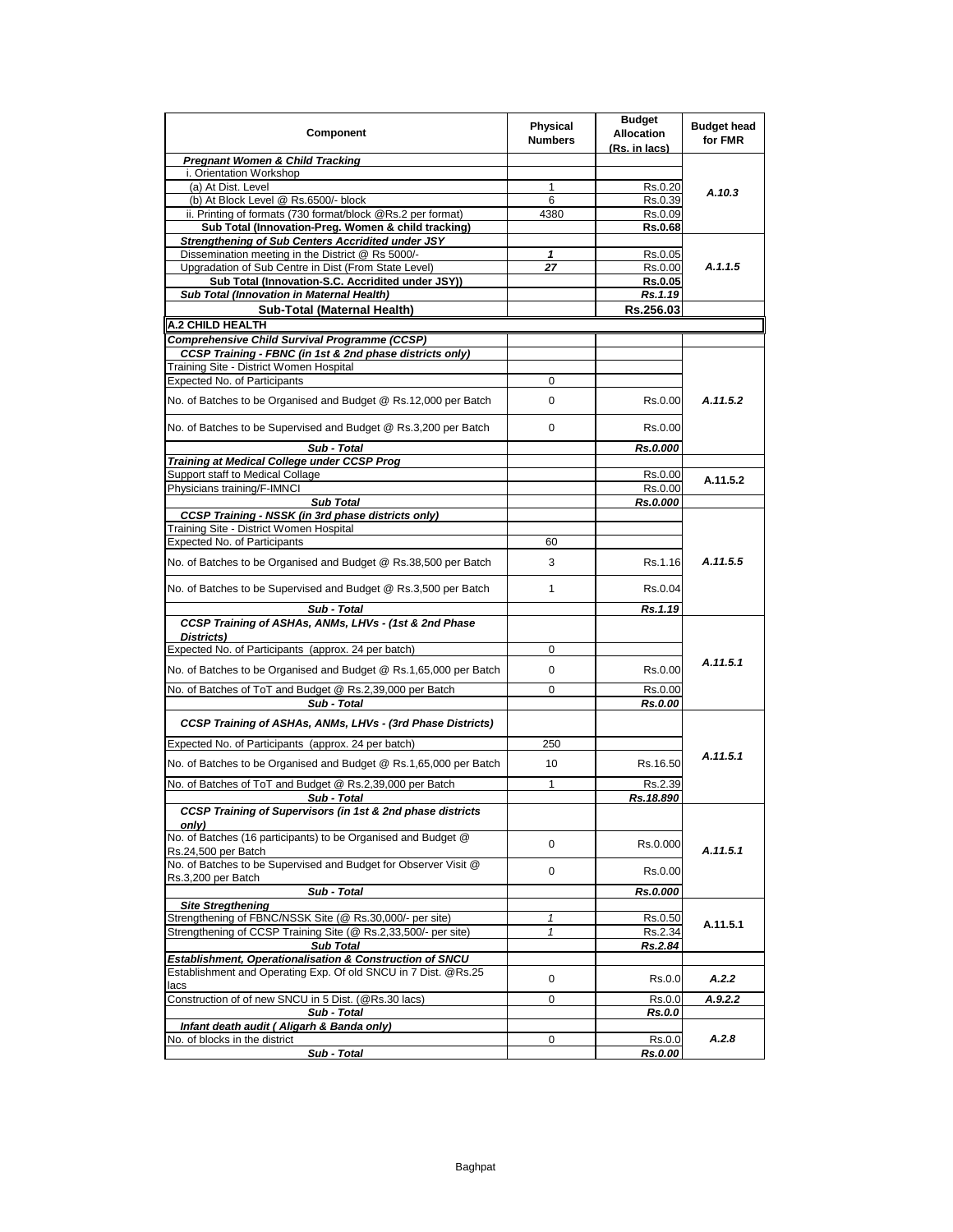| Component                                                                             | Physical<br><b>Numbers</b> | <b>Budget</b><br><b>Allocation</b><br>(Rs. in lacs) | <b>Budget head</b><br>for FMR |
|---------------------------------------------------------------------------------------|----------------------------|-----------------------------------------------------|-------------------------------|
| <b>Pregnant Women &amp; Child Tracking</b>                                            |                            |                                                     |                               |
| i. Orientation Workshop                                                               |                            |                                                     |                               |
| (a) At Dist. Level                                                                    | 1                          | Rs.0.20                                             | A.10.3                        |
| (b) At Block Level @ Rs.6500/- block                                                  | 6                          | Rs.0.39                                             |                               |
| ii. Printing of formats (730 format/block @Rs.2 per format)                           | 4380                       | Rs.0.09                                             |                               |
| Sub Total (Innovation-Preg. Women & child tracking)                                   |                            | <b>Rs.0.68</b>                                      |                               |
| Strengthening of Sub Centers Accridited under JSY                                     |                            |                                                     |                               |
| Dissemination meeting in the District @ Rs 5000/-                                     | 1                          | Rs.0.05                                             |                               |
| Upgradation of Sub Centre in Dist (From State Level)                                  | 27                         | Rs.0.00                                             | A.1.1.5                       |
| Sub Total (Innovation-S.C. Accridited under JSY))                                     |                            | <b>Rs.0.05</b>                                      |                               |
| Sub Total (Innovation in Maternal Health)                                             |                            | Rs.1.19                                             |                               |
| Sub-Total (Maternal Health)                                                           |                            | Rs.256.03                                           |                               |
| A.2 CHILD HEALTH                                                                      |                            |                                                     |                               |
| Comprehensive Child Survival Programme (CCSP)                                         |                            |                                                     |                               |
| CCSP Training - FBNC (in 1st & 2nd phase districts only)                              |                            |                                                     |                               |
| Training Site - District Women Hospital                                               |                            |                                                     |                               |
| Expected No. of Participants                                                          | 0                          |                                                     |                               |
| No. of Batches to be Organised and Budget @ Rs.12,000 per Batch                       | 0                          | Rs.0.00                                             | A.11.5.2                      |
| No. of Batches to be Supervised and Budget @ Rs.3,200 per Batch                       | 0                          | Rs.0.00                                             |                               |
| Sub - Total                                                                           |                            | Rs.0.000                                            |                               |
| Training at Medical College under CCSP Prog                                           |                            |                                                     |                               |
| Support staff to Medical Collage                                                      |                            | Rs.0.00                                             | A.11.5.2                      |
| Physicians training/F-IMNCI                                                           |                            | Rs.0.00                                             |                               |
| <b>Sub Total</b>                                                                      |                            | Rs.0.000                                            |                               |
| <b>CCSP Training - NSSK (in 3rd phase districts only)</b>                             |                            |                                                     |                               |
| Training Site - District Women Hospital                                               |                            |                                                     |                               |
| <b>Expected No. of Participants</b>                                                   | 60                         |                                                     |                               |
| No. of Batches to be Organised and Budget @ Rs.38,500 per Batch                       | 3                          | Rs.1.16                                             | A.11.5.5                      |
| No. of Batches to be Supervised and Budget @ Rs.3,500 per Batch                       | 1                          | Rs.0.04                                             |                               |
| Sub - Total                                                                           |                            | Rs.1.19                                             |                               |
| CCSP Training of ASHAs, ANMs, LHVs - (1st & 2nd Phase<br>Districts)                   |                            |                                                     |                               |
| Expected No. of Participants (approx. 24 per batch)                                   | 0                          |                                                     |                               |
| No. of Batches to be Organised and Budget @ Rs.1,65,000 per Batch                     | 0                          | Rs.0.00                                             | A.11.5.1                      |
| No. of Batches of ToT and Budget @ Rs.2,39,000 per Batch                              | 0                          | Rs.0.00                                             |                               |
| Sub - Total                                                                           |                            | Rs.0.00                                             |                               |
| CCSP Training of ASHAs, ANMs, LHVs - (3rd Phase Districts)                            |                            |                                                     |                               |
| Expected No. of Participants (approx. 24 per batch)                                   | 250                        |                                                     |                               |
| No. of Batches to be Organised and Budget @ Rs.1,65,000 per Batch                     | 10                         | Rs.16.50                                            | A.11.5.1                      |
| No. of Batches of ToT and Budget @ Rs.2,39,000 per Batch                              | 1                          | Rs.2.39                                             |                               |
| Sub - Total                                                                           |                            | Rs.18.890                                           |                               |
| CCSP Training of Supervisors (in 1st & 2nd phase districts<br>only)                   |                            |                                                     |                               |
| No. of Batches (16 participants) to be Organised and Budget @<br>Rs.24,500 per Batch  | 0                          | Rs.0.000                                            | A.11.5.1                      |
| No. of Batches to be Supervised and Budget for Observer Visit @<br>Rs.3,200 per Batch | 0                          | Rs.0.00                                             |                               |
| Sub - Total                                                                           |                            | Rs.0.000                                            |                               |
| <b>Site Stregthening</b>                                                              |                            |                                                     |                               |
| Strengthening of FBNC/NSSK Site (@ Rs.30,000/- per site)                              | 1                          | Rs.0.50                                             | A.11.5.1                      |
| Strengthening of CCSP Training Site (@ Rs.2,33,500/- per site)                        | 1                          | Rs.2.34                                             |                               |
| <b>Sub Total</b>                                                                      |                            | Rs.2.84                                             |                               |
| Establishment, Operationalisation & Construction of SNCU                              |                            |                                                     |                               |
| Establishment and Operating Exp. Of old SNCU in 7 Dist. @Rs.25<br>lacs                | 0                          | Rs.0.0                                              | A.2.2                         |
| Construction of of new SNCU in 5 Dist. (@Rs.30 lacs)                                  | 0                          | Rs.0.0                                              | A.9.2.2                       |
| Sub - Total                                                                           |                            | Rs.0.0                                              |                               |
| Infant death audit ( Aligarh & Banda only)                                            |                            |                                                     |                               |
| No. of blocks in the district                                                         | 0                          | Rs.0.0                                              | A.2.8                         |
|                                                                                       |                            |                                                     |                               |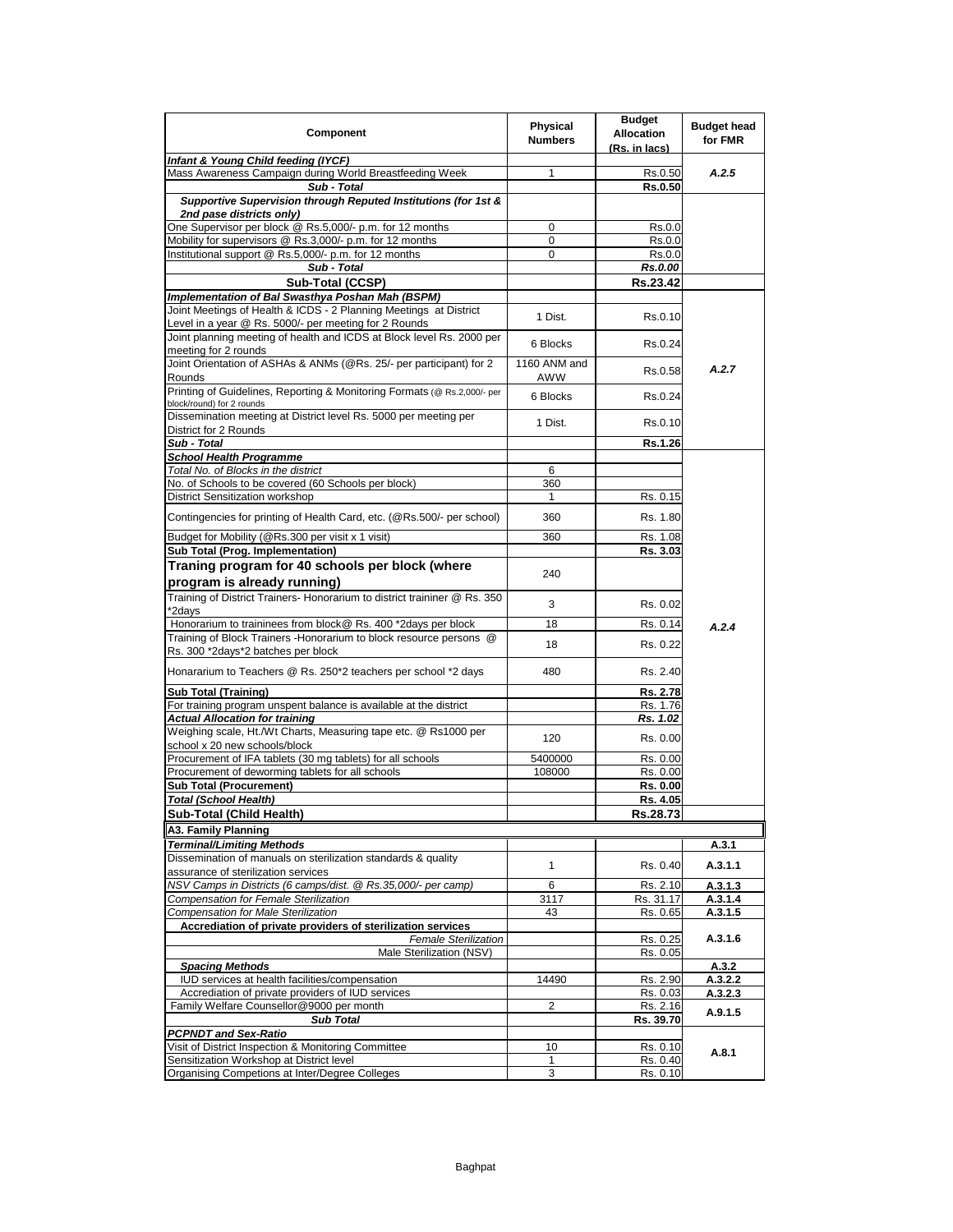| Component                                                                                                                      | Physical<br><b>Numbers</b> | <b>Budget</b><br><b>Allocation</b><br>(Rs. in lacs) | <b>Budget head</b><br>for FMR |
|--------------------------------------------------------------------------------------------------------------------------------|----------------------------|-----------------------------------------------------|-------------------------------|
| Infant & Young Child feeding (IYCF)                                                                                            |                            |                                                     |                               |
| Mass Awareness Campaign during World Breastfeeding Week                                                                        | 1                          | Rs.0.50                                             | A.2.5                         |
| Sub - Total                                                                                                                    |                            | <b>Rs.0.50</b>                                      |                               |
| Supportive Supervision through Reputed Institutions (for 1st &                                                                 |                            |                                                     |                               |
| 2nd pase districts only)<br>One Supervisor per block @ Rs.5,000/- p.m. for 12 months                                           | 0                          | Rs.0.0                                              |                               |
| Mobility for supervisors @ Rs.3,000/- p.m. for 12 months                                                                       | 0                          | Rs.0.0                                              |                               |
| Institutional support @ Rs.5,000/- p.m. for 12 months                                                                          | $\mathbf 0$                | Rs.0.0                                              |                               |
| Sub - Total                                                                                                                    |                            | Rs.0.00                                             |                               |
| Sub-Total (CCSP)                                                                                                               |                            | Rs.23.42                                            |                               |
| Implementation of Bal Swasthya Poshan Mah (BSPM)                                                                               |                            |                                                     |                               |
| Joint Meetings of Health & ICDS - 2 Planning Meetings at District<br>Level in a year @ Rs. 5000/- per meeting for 2 Rounds     | 1 Dist.                    | Rs.0.10                                             |                               |
| Joint planning meeting of health and ICDS at Block level Rs. 2000 per                                                          | 6 Blocks                   | Rs.0.24                                             |                               |
| meeting for 2 rounds<br>Joint Orientation of ASHAs & ANMs (@Rs. 25/- per participant) for 2                                    | 1160 ANM and               | Rs.0.58                                             | A.2.7                         |
| Rounds<br>Printing of Guidelines, Reporting & Monitoring Formats (@ Rs.2,000/- per<br>block/round) for 2 rounds                | AWW<br>6 Blocks            | Rs.0.24                                             |                               |
| Dissemination meeting at District level Rs. 5000 per meeting per                                                               | 1 Dist.                    | Rs.0.10                                             |                               |
| District for 2 Rounds                                                                                                          |                            |                                                     |                               |
| Sub - Total<br><b>School Health Programme</b>                                                                                  |                            | Rs.1.26                                             |                               |
| Total No. of Blocks in the district                                                                                            | 6                          |                                                     |                               |
| No. of Schools to be covered (60 Schools per block)                                                                            | 360                        |                                                     |                               |
| District Sensitization workshop                                                                                                | $\mathbf{1}$               | Rs. 0.15                                            |                               |
| Contingencies for printing of Health Card, etc. (@Rs.500/- per school)                                                         | 360                        | Rs. 1.80                                            |                               |
| Budget for Mobility (@Rs.300 per visit x 1 visit)                                                                              | 360                        | Rs. 1.08                                            |                               |
| Sub Total (Prog. Implementation)                                                                                               |                            | Rs. 3.03                                            |                               |
| program is already running)                                                                                                    |                            |                                                     |                               |
| Training of District Trainers- Honorarium to district traininer @ Rs. 350<br>*2days                                            | 3                          | Rs. 0.02                                            |                               |
| Honorarium to traininees from block@ Rs. 400 *2days per block                                                                  | 18                         | Rs. 0.14                                            | A.2.4                         |
| Training of Block Trainers - Honorarium to block resource persons @<br>Rs. 300 *2days*2 batches per block                      | 18                         | Rs. 0.22                                            |                               |
| Honararium to Teachers @ Rs. 250*2 teachers per school *2 days                                                                 | 480                        | Rs. 2.40                                            |                               |
| <b>Sub Total (Training)</b>                                                                                                    |                            | Rs. 2.78                                            |                               |
| For training program unspent balance is available at the district                                                              |                            | Rs. 1.76                                            |                               |
| <b>Actual Allocation for training</b>                                                                                          |                            | Rs. 1.02                                            |                               |
| Weighing scale, Ht./Wt Charts, Measuring tape etc. @ Rs1000 per<br>school x 20 new schools/block                               | 120                        | Rs. 0.00                                            |                               |
| Procurement of IFA tablets (30 mg tablets) for all schools                                                                     | 5400000                    | Rs. 0.00                                            |                               |
| Procurement of deworming tablets for all schools                                                                               | 108000                     | Rs. 0.00                                            |                               |
| Sub Total (Procurement)                                                                                                        |                            | Rs. 0.00                                            |                               |
| Total (School Health)                                                                                                          |                            | Rs. 4.05                                            |                               |
| Sub-Total (Child Health)                                                                                                       |                            | Rs.28.73                                            |                               |
| A3. Family Planning                                                                                                            |                            |                                                     |                               |
| Terminal/Limiting Methods                                                                                                      |                            |                                                     | A.3.1                         |
| Dissemination of manuals on sterilization standards & quality<br>assurance of sterilization services                           | 1                          | Rs. 0.40                                            | A.3.1.1                       |
| NSV Camps in Districts (6 camps/dist. @ Rs.35,000/- per camp)                                                                  | 6                          | Rs. 2.10                                            | A.3.1.3                       |
| Compensation for Female Sterilization                                                                                          | 3117                       | Rs. 31.17                                           | A.3.1.4                       |
| <b>Compensation for Male Sterilization</b>                                                                                     | 43                         | Rs. 0.65                                            | A.3.1.5                       |
| Accrediation of private providers of sterilization services                                                                    |                            |                                                     |                               |
| <b>Female Sterilization</b><br>Male Sterilization (NSV)                                                                        |                            | Rs. 0.25<br>Rs. 0.05                                | A.3.1.6                       |
| <b>Spacing Methods</b>                                                                                                         |                            |                                                     | A.3.2                         |
| IUD services at health facilities/compensation                                                                                 | 14490                      | Rs. 2.90                                            | A.3.2.2                       |
| Accrediation of private providers of IUD services                                                                              |                            | Rs. 0.03                                            | A.3.2.3                       |
| Family Welfare Counsellor@9000 per month                                                                                       | 2                          | Rs. 2.16                                            | A.9.1.5                       |
| <b>Sub Total</b>                                                                                                               |                            | Rs. 39.70                                           |                               |
| <b>PCPNDT and Sex-Ratio</b><br>Visit of District Inspection & Monitoring Committee<br>Sensitization Workshop at District level | 10<br>$\mathbf{1}$         | Rs. 0.10<br>Rs. 0.40                                | A.8.1                         |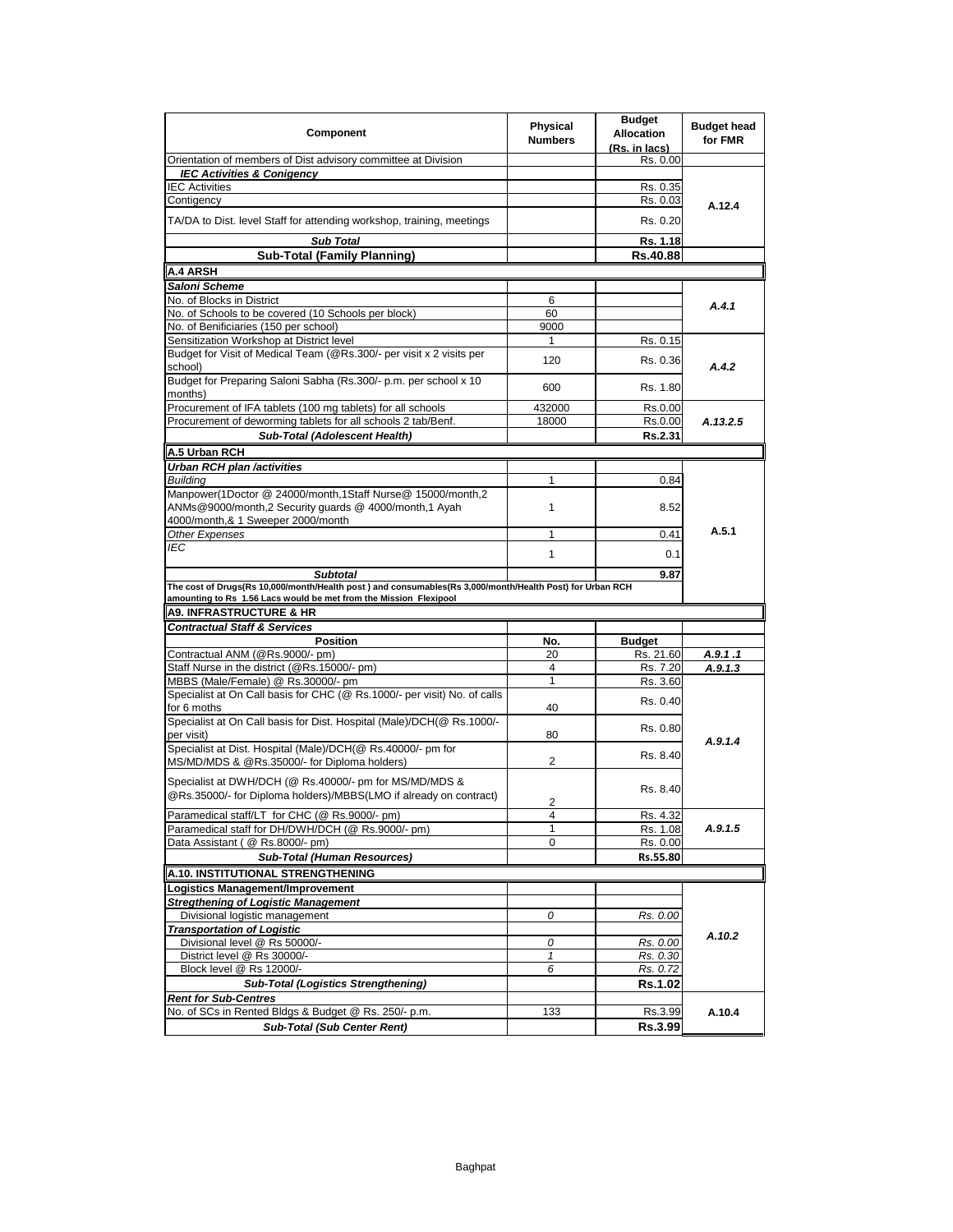| Component                                                                                                                   | Physical<br><b>Numbers</b> | <b>Budget</b><br><b>Allocation</b><br>(Rs. in lacs) | <b>Budget head</b><br>for FMR |
|-----------------------------------------------------------------------------------------------------------------------------|----------------------------|-----------------------------------------------------|-------------------------------|
| Orientation of members of Dist advisory committee at Division                                                               |                            | Rs. 0.00                                            |                               |
| <b>IEC Activities &amp; Conigency</b>                                                                                       |                            |                                                     |                               |
| <b>IEC Activities</b>                                                                                                       |                            | Rs. 0.35                                            |                               |
| Contigency                                                                                                                  |                            | Rs. 0.03                                            | A.12.4                        |
| TA/DA to Dist. level Staff for attending workshop, training, meetings                                                       |                            | Rs. 0.20                                            |                               |
| <b>Sub Total</b>                                                                                                            |                            | Rs. 1.18                                            |                               |
| <b>Sub-Total (Family Planning)</b>                                                                                          |                            | Rs.40.88                                            |                               |
| A.4 ARSH                                                                                                                    |                            |                                                     |                               |
| Saloni Scheme                                                                                                               |                            |                                                     |                               |
| No. of Blocks in District                                                                                                   | 6                          |                                                     | A.4.1                         |
| No. of Schools to be covered (10 Schools per block)                                                                         | 60                         |                                                     |                               |
| No. of Benificiaries (150 per school)                                                                                       | 9000                       |                                                     |                               |
| Sensitization Workshop at District level                                                                                    | 1                          | Rs. 0.15                                            |                               |
| Budget for Visit of Medical Team (@Rs.300/- per visit x 2 visits per<br>school)                                             | 120                        | Rs. 0.36                                            | A.4.2                         |
| Budget for Preparing Saloni Sabha (Rs.300/- p.m. per school x 10<br>months)                                                 | 600                        | Rs. 1.80                                            |                               |
| Procurement of IFA tablets (100 mg tablets) for all schools                                                                 | 432000                     | Rs.0.00                                             |                               |
| Procurement of deworming tablets for all schools 2 tab/Benf.                                                                | 18000                      | Rs.0.00                                             | A.13.2.5                      |
| Sub-Total (Adolescent Health)                                                                                               |                            | Rs.2.31                                             |                               |
| A.5 Urban RCH                                                                                                               |                            |                                                     |                               |
| Urban RCH plan /activities                                                                                                  |                            |                                                     |                               |
| <b>Building</b>                                                                                                             | 1                          | 0.84                                                |                               |
| Manpower(1Doctor @ 24000/month,1Staff Nurse@ 15000/month,2                                                                  |                            |                                                     |                               |
| ANMs@9000/month,2 Security guards @ 4000/month,1 Ayah                                                                       | 1                          | 8.52                                                |                               |
| 4000/month,& 1 Sweeper 2000/month                                                                                           |                            |                                                     |                               |
| Other Expenses                                                                                                              | $\mathbf{1}$               | 0.41                                                | A.5.1                         |
| IEC                                                                                                                         |                            |                                                     |                               |
|                                                                                                                             | 1                          | 0.1                                                 |                               |
| <b>Subtotal</b>                                                                                                             |                            | 9.87                                                |                               |
| The cost of Drugs(Rs 10,000/month/Health post) and consumables(Rs 3,000/month/Health Post) for Urban RCH                    |                            |                                                     |                               |
| amounting to Rs 1.56 Lacs would be met from the Mission Flexipool                                                           |                            |                                                     |                               |
| <b>A9. INFRASTRUCTURE &amp; HR</b>                                                                                          |                            |                                                     |                               |
| <b>Contractual Staff &amp; Services</b>                                                                                     |                            |                                                     |                               |
| <b>Position</b>                                                                                                             | No.                        | <b>Budget</b>                                       |                               |
| Contractual ANM (@Rs.9000/- pm)                                                                                             | 20                         | Rs. 21.60                                           | A.9.1.1                       |
| Staff Nurse in the district (@Rs.15000/- pm)                                                                                | 4                          | Rs. 7.20                                            | A.9.1.3                       |
| MBBS (Male/Female) @ Rs.30000/- pm                                                                                          | 1                          | Rs. 3.60                                            |                               |
| Specialist at On Call basis for CHC (@ Rs.1000/- per visit) No. of calls<br>for 6 moths                                     | 40                         | Rs. 0.40                                            |                               |
| Specialist at On Call basis for Dist. Hospital (Male)/DCH(@ Rs.1000/-                                                       |                            | Rs. 0.80                                            |                               |
| per visit)                                                                                                                  | 80                         |                                                     | A.9.1.4                       |
| Specialist at Dist. Hospital (Male)/DCH(@ Rs.40000/- pm for                                                                 |                            | Rs. 8.40                                            |                               |
| MS/MD/MDS & @Rs.35000/- for Diploma holders)                                                                                | 2                          |                                                     |                               |
| Specialist at DWH/DCH (@ Rs.40000/- pm for MS/MD/MDS &<br>@Rs.35000/- for Diploma holders)/MBBS(LMO if already on contract) |                            | Rs. 8.40                                            |                               |
| Paramedical staff/LT for CHC (@ Rs.9000/- pm)                                                                               | 2                          |                                                     |                               |
| Paramedical staff for DH/DWH/DCH (@ Rs.9000/- pm)                                                                           | 4<br>1                     | Rs. 4.32                                            | A.9.1.5                       |
| Data Assistant (@ Rs.8000/- pm)                                                                                             | 0                          | Rs. 1.08<br>Rs. 0.00                                |                               |
|                                                                                                                             |                            | Rs.55.80                                            |                               |
| <b>Sub-Total (Human Resources)</b>                                                                                          |                            |                                                     |                               |
| A.10. INSTITUTIONAL STRENGTHENING                                                                                           |                            |                                                     |                               |
| Logistics Management/Improvement                                                                                            |                            |                                                     |                               |
| <b>Stregthening of Logistic Management</b>                                                                                  |                            |                                                     |                               |
| Divisional logistic management                                                                                              | 0                          | Rs. 0.00                                            |                               |
|                                                                                                                             |                            |                                                     | A.10.2                        |
| <b>Transportation of Logistic</b>                                                                                           |                            |                                                     |                               |
| Divisional level @ Rs 50000/-                                                                                               | 0                          | Rs. 0.00                                            |                               |
| District level @ Rs 30000/-                                                                                                 | $\mathbf{1}$               | Rs. 0.30                                            |                               |
| Block level @ Rs 12000/-                                                                                                    | 6                          | Rs. 0.72                                            |                               |
| <b>Sub-Total (Logistics Strengthening)</b>                                                                                  |                            | <b>Rs.1.02</b>                                      |                               |
| <b>Rent for Sub-Centres</b>                                                                                                 |                            |                                                     |                               |
| No. of SCs in Rented Bldgs & Budget @ Rs. 250/- p.m.<br><b>Sub-Total (Sub Center Rent)</b>                                  | 133                        | Rs.3.99<br>Rs.3.99                                  | A.10.4                        |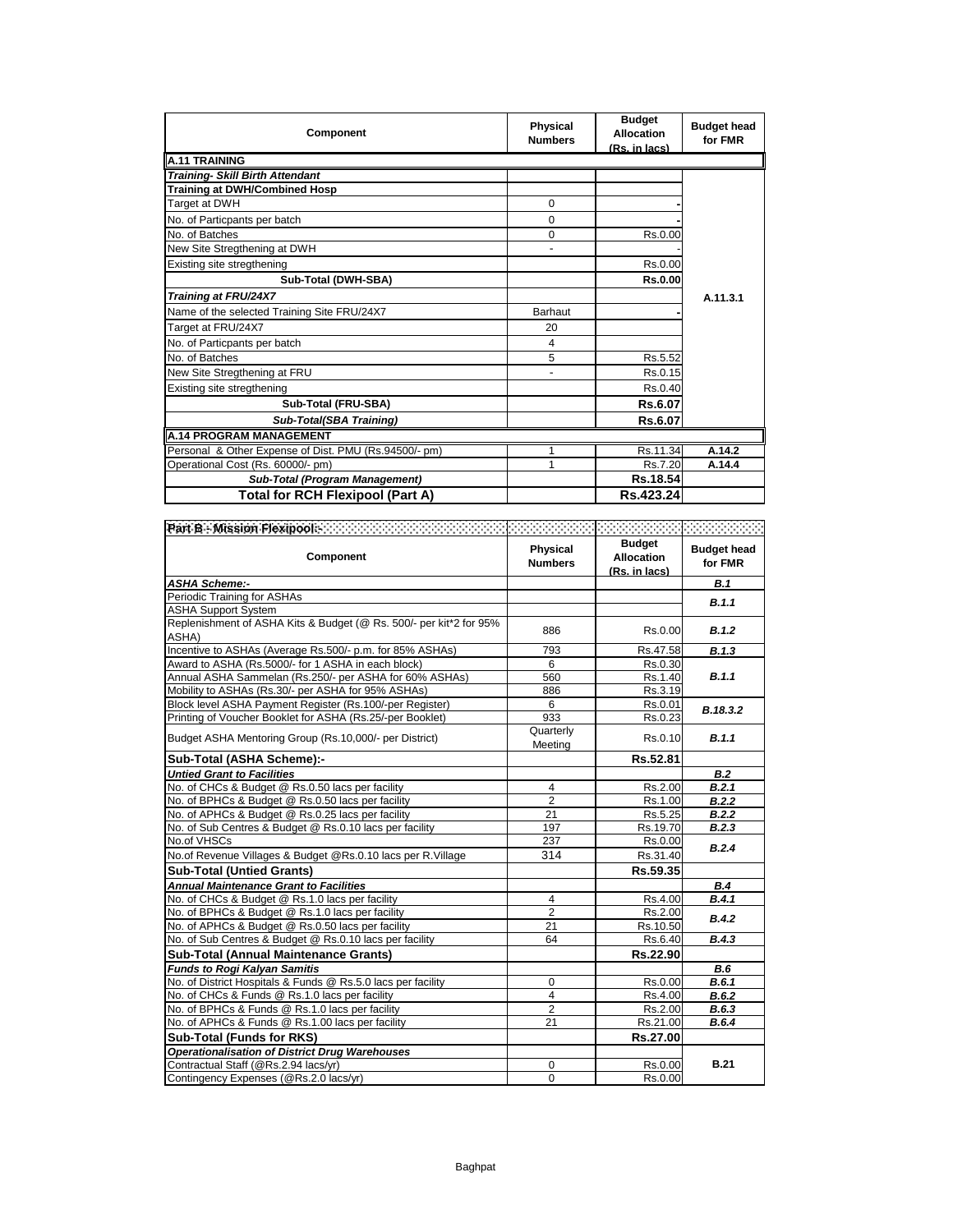| Component                                             | <b>Physical</b><br><b>Numbers</b> | <b>Budget</b><br><b>Allocation</b><br>(Rs. in lacs) | <b>Budget head</b><br>for FMR |
|-------------------------------------------------------|-----------------------------------|-----------------------------------------------------|-------------------------------|
| A.11 TRAINING                                         |                                   |                                                     |                               |
| <b>Training- Skill Birth Attendant</b>                |                                   |                                                     |                               |
| <b>Training at DWH/Combined Hosp</b>                  |                                   |                                                     |                               |
| Target at DWH                                         | $\Omega$                          |                                                     |                               |
| No. of Particpants per batch                          | $\Omega$                          |                                                     |                               |
| No. of Batches                                        | $\Omega$                          | Rs.0.00                                             |                               |
| New Site Stregthening at DWH                          | ۰                                 |                                                     |                               |
| Existing site stregthening                            |                                   | Rs.0.00                                             |                               |
| Sub-Total (DWH-SBA)                                   |                                   | <b>Rs.0.00</b>                                      |                               |
| Training at FRU/24X7                                  |                                   |                                                     | A.11.3.1                      |
| Name of the selected Training Site FRU/24X7           | Barhaut                           |                                                     |                               |
| Target at FRU/24X7                                    | 20                                |                                                     |                               |
| No. of Particpants per batch                          | 4                                 |                                                     |                               |
| No. of Batches                                        | 5                                 | Rs.5.52                                             |                               |
| New Site Stregthening at FRU                          |                                   | Rs.0.15                                             |                               |
| Existing site stregthening                            |                                   | Rs.0.40                                             |                               |
| Sub-Total (FRU-SBA)                                   |                                   | Rs.6.07                                             |                               |
| Sub-Total(SBA Training)                               |                                   | Rs.6.07                                             |                               |
| <b>A.14 PROGRAM MANAGEMENT</b>                        |                                   |                                                     |                               |
| Personal & Other Expense of Dist. PMU (Rs.94500/- pm) |                                   | Rs.11.34                                            | A.14.2                        |
| Operational Cost (Rs. 60000/- pm)                     | 4                                 | Rs.7.20                                             | A.14.4                        |
| <b>Sub-Total (Program Management)</b>                 |                                   | Rs.18.54                                            |                               |
| Total for RCH Flexipool (Part A)                      |                                   | Rs.423.24                                           |                               |

| Component                                                                   | Physical<br><b>Numbers</b> | <b>Budget</b><br>Allocation<br>(Rs. in lacs) | <b>Budget head</b><br>for FMR |
|-----------------------------------------------------------------------------|----------------------------|----------------------------------------------|-------------------------------|
| <b>ASHA Scheme:-</b>                                                        |                            |                                              | <b>B.1</b>                    |
| Periodic Training for ASHAs                                                 |                            |                                              | B.1.1                         |
| <b>ASHA Support System</b>                                                  |                            |                                              |                               |
| Replenishment of ASHA Kits & Budget (@ Rs. 500/- per kit*2 for 95%<br>ASHA) | 886                        | Rs.0.00                                      | B.1.2                         |
| Incentive to ASHAs (Average Rs.500/- p.m. for 85% ASHAs)                    | 793                        | Rs.47.58                                     | B.1.3                         |
| Award to ASHA (Rs.5000/- for 1 ASHA in each block)                          | 6                          | Rs.0.30                                      |                               |
| Annual ASHA Sammelan (Rs.250/- per ASHA for 60% ASHAs)                      | 560                        | Rs.1.40                                      | B.1.1                         |
| Mobility to ASHAs (Rs.30/- per ASHA for 95% ASHAs)                          | 886                        | Rs.3.19                                      |                               |
| Block level ASHA Payment Register (Rs.100/-per Register)                    | 6                          | Rs.0.01                                      | B.18.3.2                      |
| Printing of Voucher Booklet for ASHA (Rs.25/-per Booklet)                   | 933                        | Rs.0.23                                      |                               |
| Budget ASHA Mentoring Group (Rs.10,000/- per District)                      | Quarterly<br>Meeting       | Rs.0.10                                      | B.1.1                         |
| Sub-Total (ASHA Scheme):-                                                   |                            | Rs.52.81                                     |                               |
| <b>Untied Grant to Facilities</b>                                           |                            |                                              | B.2                           |
| No. of CHCs & Budget @ Rs.0.50 lacs per facility                            | 4                          | Rs.2.00                                      | B.2.1                         |
| No. of BPHCs & Budget @ Rs.0.50 lacs per facility                           | 2                          | Rs.1.00                                      | B.2.2                         |
| No. of APHCs & Budget @ Rs.0.25 lacs per facility                           | 21                         | Rs.5.25                                      | B.2.2                         |
| No. of Sub Centres & Budget @ Rs.0.10 lacs per facility                     | 197                        | Rs.19.70                                     | B.2.3                         |
| No.of VHSCs                                                                 | 237                        | Rs.0.00                                      | B.2.4                         |
| No.of Revenue Villages & Budget @Rs.0.10 lacs per R.Village                 | 314                        | Rs.31.40                                     |                               |
| <b>Sub-Total (Untied Grants)</b>                                            |                            | Rs.59.35                                     |                               |
| <b>Annual Maintenance Grant to Facilities</b>                               |                            |                                              | B.4                           |
| No. of CHCs & Budget @ Rs.1.0 lacs per facility                             | 4                          | Rs.4.00                                      | B.4.1                         |
| No. of BPHCs & Budget @ Rs.1.0 lacs per facility                            | 2                          | Rs.2.00                                      | B.4.2                         |
| No. of APHCs & Budget @ Rs.0.50 lacs per facility                           | 21                         | Rs.10.50                                     |                               |
| No. of Sub Centres & Budget @ Rs.0.10 lacs per facility                     | 64                         | Rs.6.40                                      | B.4.3                         |
| <b>Sub-Total (Annual Maintenance Grants)</b>                                |                            | Rs.22.90                                     |                               |
| <b>Funds to Rogi Kalyan Samitis</b>                                         |                            |                                              | B.6                           |
| No. of District Hospitals & Funds @ Rs.5.0 lacs per facility                | $\Omega$                   | Rs.0.00                                      | B.6.1                         |
| No. of CHCs & Funds @ Rs.1.0 lacs per facility                              | $\overline{4}$             | Rs.4.00                                      | B.6.2                         |
| No. of BPHCs & Funds @ Rs.1.0 lacs per facility                             | $\overline{2}$             | Rs.2.00                                      | B.6.3                         |
| No. of APHCs & Funds @ Rs.1.00 lacs per facility                            | 21                         | Rs.21.00                                     | B.6.4                         |
| <b>Sub-Total (Funds for RKS)</b>                                            |                            | Rs.27.00                                     |                               |
| <b>Operationalisation of District Drug Warehouses</b>                       |                            |                                              |                               |
| Contractual Staff (@Rs.2.94 lacs/yr)                                        | 0                          | Rs.0.00                                      | <b>B.21</b>                   |
| Contingency Expenses (@Rs.2.0 lacs/yr)                                      | $\Omega$                   | Rs.0.00                                      |                               |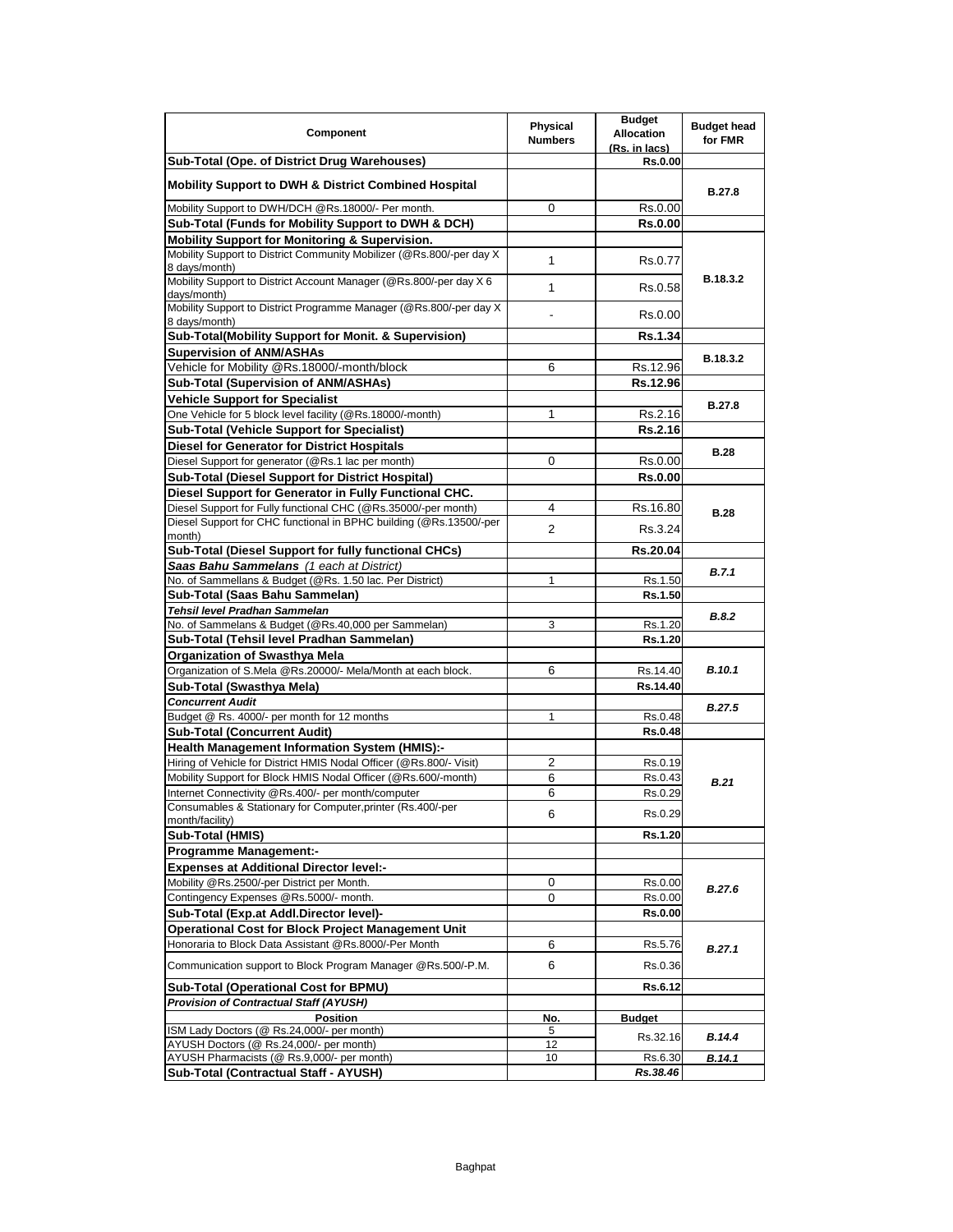| Component                                                                                                         | <b>Physical</b><br><b>Numbers</b> | <b>Budget</b><br><b>Allocation</b><br>(Rs. in lacs) | <b>Budget head</b><br>for FMR |
|-------------------------------------------------------------------------------------------------------------------|-----------------------------------|-----------------------------------------------------|-------------------------------|
| Sub-Total (Ope. of District Drug Warehouses)                                                                      |                                   | <b>Rs.0.00</b>                                      |                               |
| <b>Mobility Support to DWH &amp; District Combined Hospital</b>                                                   |                                   |                                                     | <b>B.27.8</b>                 |
| Mobility Support to DWH/DCH @Rs.18000/- Per month.                                                                | 0                                 | Rs.0.00                                             |                               |
| Sub-Total (Funds for Mobility Support to DWH & DCH)                                                               |                                   | <b>Rs.0.00</b>                                      |                               |
| <b>Mobility Support for Monitoring &amp; Supervision.</b>                                                         |                                   |                                                     |                               |
| Mobility Support to District Community Mobilizer (@Rs.800/-per day X<br>8 days/month)                             | 1                                 | Rs.0.77                                             |                               |
| Mobility Support to District Account Manager (@Rs.800/-per day X 6)<br>days/month)                                | 1                                 | Rs.0.58                                             | B.18.3.2                      |
| Mobility Support to District Programme Manager (@Rs.800/-per day X<br>8 days/month)                               |                                   | Rs.0.00                                             |                               |
| Sub-Total(Mobility Support for Monit. & Supervision)                                                              |                                   | Rs.1.34                                             |                               |
| <b>Supervision of ANM/ASHAs</b>                                                                                   |                                   |                                                     | B.18.3.2                      |
| Vehicle for Mobility @Rs.18000/-month/block                                                                       | 6                                 | Rs.12.96                                            |                               |
| Sub-Total (Supervision of ANM/ASHAs)                                                                              |                                   | Rs.12.96                                            |                               |
| <b>Vehicle Support for Specialist</b>                                                                             |                                   |                                                     | <b>B.27.8</b>                 |
| One Vehicle for 5 block level facility (@Rs.18000/-month)                                                         | 1                                 | Rs.2.16                                             |                               |
| <b>Sub-Total (Vehicle Support for Specialist)</b>                                                                 |                                   | <b>Rs.2.16</b>                                      |                               |
| <b>Diesel for Generator for District Hospitals</b><br>Diesel Support for generator (@Rs.1 lac per month)          |                                   |                                                     | <b>B.28</b>                   |
| Sub-Total (Diesel Support for District Hospital)                                                                  | 0                                 | Rs.0.00<br><b>Rs.0.00</b>                           |                               |
| Diesel Support for Generator in Fully Functional CHC.                                                             |                                   |                                                     |                               |
| Diesel Support for Fully functional CHC (@Rs.35000/-per month)                                                    | 4                                 | Rs.16.80                                            |                               |
| Diesel Support for CHC functional in BPHC building (@Rs.13500/-per                                                | $\overline{2}$                    | Rs.3.24                                             | <b>B.28</b>                   |
| month)<br>Sub-Total (Diesel Support for fully functional CHCs)                                                    |                                   | Rs.20.04                                            |                               |
| Saas Bahu Sammelans (1 each at District)                                                                          |                                   |                                                     |                               |
| No. of Sammellans & Budget (@Rs. 1.50 lac. Per District)                                                          | 1                                 | Rs.1.50                                             | <b>B.7.1</b>                  |
| Sub-Total (Saas Bahu Sammelan)                                                                                    |                                   | Rs.1.50                                             |                               |
| Tehsil level Pradhan Sammelan                                                                                     |                                   |                                                     | <b>B.8.2</b>                  |
| No. of Sammelans & Budget (@Rs.40,000 per Sammelan)                                                               | 3                                 | Rs.1.20                                             |                               |
| Sub-Total (Tehsil level Pradhan Sammelan)                                                                         |                                   | Rs.1.20                                             |                               |
| Organization of Swasthya Mela                                                                                     |                                   |                                                     |                               |
| Organization of S.Mela @Rs.20000/- Mela/Month at each block.                                                      | 6                                 | Rs.14.40                                            | <b>B.10.1</b>                 |
| Sub-Total (Swasthya Mela)                                                                                         |                                   | Rs.14.40                                            |                               |
| <b>Concurrent Audit</b>                                                                                           |                                   |                                                     | <b>B.27.5</b>                 |
| Budget @ Rs. 4000/- per month for 12 months                                                                       | 1                                 | Rs.0.48                                             |                               |
| <b>Sub-Total (Concurrent Audit)</b>                                                                               |                                   | <b>Rs.0.48</b>                                      |                               |
| <b>Health Management Information System (HMIS):-</b>                                                              |                                   |                                                     |                               |
| Hiring of Vehicle for District HMIS Nodal Officer (@Rs.800/- Visit)                                               | 2                                 | Rs.0.19                                             |                               |
| Mobility Support for Block HMIS Nodal Officer (@Rs.600/-month)                                                    | 6                                 | Rs.0.43                                             | B.21                          |
| Internet Connectivity @Rs.400/- per month/computer<br>Consumables & Stationary for Computer, printer (Rs.400/-per | 6                                 | Rs.0.29                                             |                               |
| month/facility)<br><b>Sub-Total (HMIS)</b>                                                                        | 6                                 | Rs.0.29<br>Rs.1.20                                  |                               |
| <b>Programme Management:-</b>                                                                                     |                                   |                                                     |                               |
| <b>Expenses at Additional Director level:-</b>                                                                    |                                   |                                                     |                               |
| Mobility @Rs.2500/-per District per Month.                                                                        | 0                                 | Rs.0.00                                             |                               |
| Contingency Expenses @Rs.5000/- month.                                                                            | 0                                 | Rs.0.00                                             | B.27.6                        |
| Sub-Total (Exp.at Addl.Director level)-                                                                           |                                   | <b>Rs.0.00</b>                                      |                               |
| <b>Operational Cost for Block Project Management Unit</b>                                                         |                                   |                                                     |                               |
| Honoraria to Block Data Assistant @Rs.8000/-Per Month                                                             | 6                                 | Rs.5.76                                             |                               |
| Communication support to Block Program Manager @Rs.500/-P.M.                                                      | 6                                 | Rs.0.36                                             | B.27.1                        |
| Sub-Total (Operational Cost for BPMU)                                                                             |                                   | Rs.6.12                                             |                               |
| <b>Provision of Contractual Staff (AYUSH)</b>                                                                     |                                   |                                                     |                               |
| <b>Position</b>                                                                                                   | No.                               | <b>Budget</b>                                       |                               |
| ISM Lady Doctors (@ Rs.24,000/- per month)                                                                        | 5                                 | Rs.32.16                                            | B.14.4                        |
| AYUSH Doctors (@ Rs.24,000/- per month)                                                                           | 12                                |                                                     |                               |
| AYUSH Pharmacists (@ Rs.9,000/- per month)                                                                        | 10                                | Rs.6.30                                             | B.14.1                        |
| Sub-Total (Contractual Staff - AYUSH)                                                                             |                                   | Rs.38.46                                            |                               |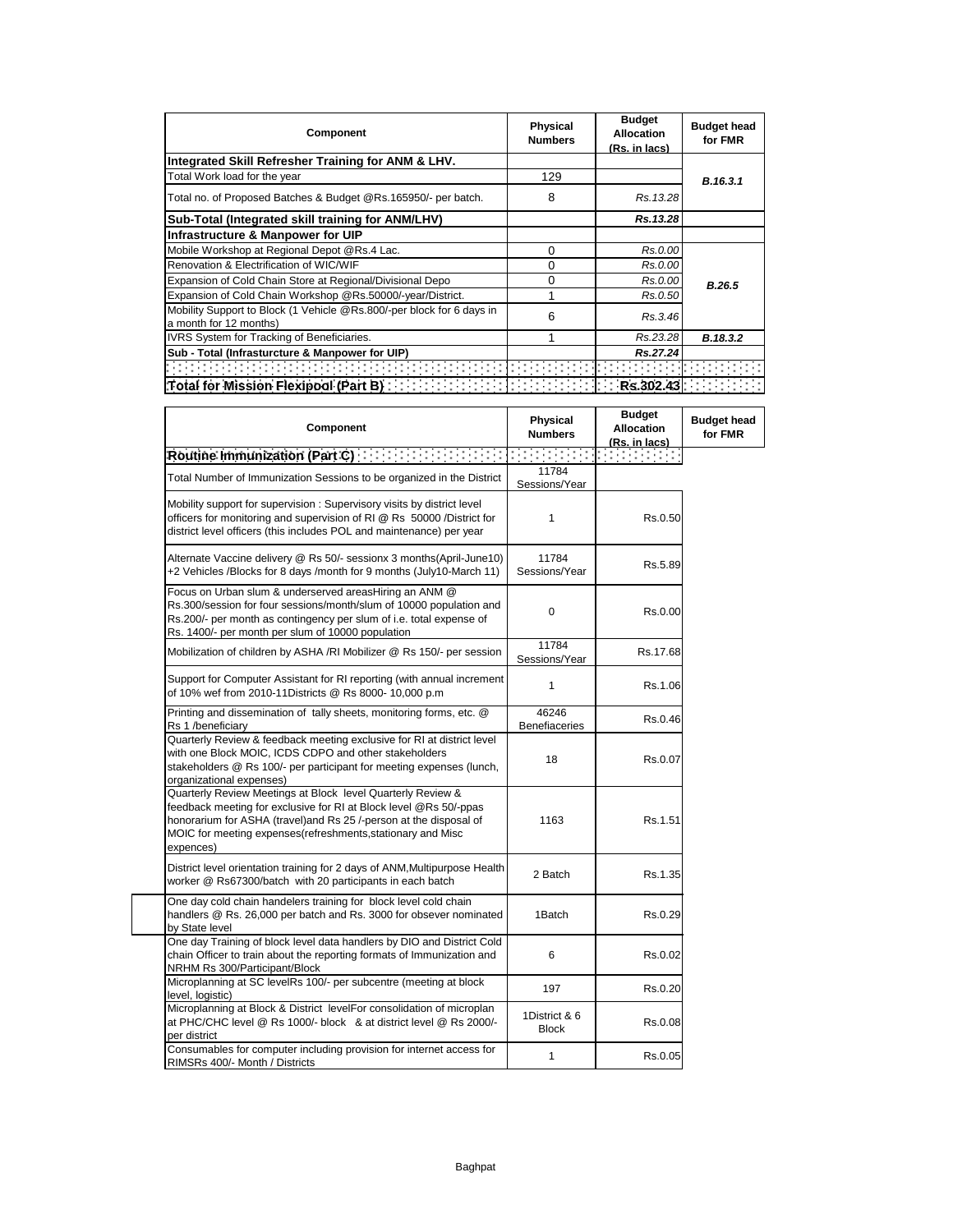| Component                                                                                       | <b>Physical</b><br><b>Numbers</b> | <b>Budget</b><br>Allocation<br>(Rs. in lacs) | <b>Budget head</b><br>for FMR |
|-------------------------------------------------------------------------------------------------|-----------------------------------|----------------------------------------------|-------------------------------|
| Integrated Skill Refresher Training for ANM & LHV.                                              |                                   |                                              |                               |
| Total Work load for the year                                                                    | 129                               |                                              | B.16.3.1                      |
| Total no. of Proposed Batches & Budget @Rs.165950/- per batch.                                  | 8                                 | Rs.13.28                                     |                               |
| Sub-Total (Integrated skill training for ANM/LHV)                                               |                                   | Rs.13.28                                     |                               |
| Infrastructure & Manpower for UIP                                                               |                                   |                                              |                               |
| Mobile Workshop at Regional Depot @Rs.4 Lac.                                                    | 0                                 | Rs.0.00                                      |                               |
| Renovation & Electrification of WIC/WIF                                                         | 0                                 | Rs.0.00                                      |                               |
| Expansion of Cold Chain Store at Regional/Divisional Depo                                       | 0                                 | Rs.0.00                                      | B.26.5                        |
| Expansion of Cold Chain Workshop @Rs.50000/-year/District.                                      |                                   | Rs.0.50                                      |                               |
| Mobility Support to Block (1 Vehicle @Rs.800/-per block for 6 days in<br>a month for 12 months) | 6                                 | Rs.3.46                                      |                               |
| IVRS System for Tracking of Beneficiaries.                                                      |                                   | Rs.23.28                                     | B.18.3.2                      |
| Sub - Total (Infrasturcture & Manpower for UIP)                                                 |                                   | Rs.27.24                                     |                               |
|                                                                                                 |                                   |                                              |                               |
| Total for Mission Flexipool (Part B) [1999] [1999]                                              |                                   | Rs.302.43                                    |                               |

| Component                                                                                                                                                                                                                                                                         | <b>Physical</b><br><b>Numbers</b> | <b>Budget</b><br><b>Allocation</b><br>(Rs. in lacs) | <b>Budget head</b><br>for FMR |
|-----------------------------------------------------------------------------------------------------------------------------------------------------------------------------------------------------------------------------------------------------------------------------------|-----------------------------------|-----------------------------------------------------|-------------------------------|
| Routine Immunization (Part C) [1999] [1999] [1999] [1999] [1999] [1999] [1999] [1999] [1999] [1999] [1999] [19                                                                                                                                                                    |                                   |                                                     |                               |
| Total Number of Immunization Sessions to be organized in the District                                                                                                                                                                                                             | 11784<br>Sessions/Year            |                                                     |                               |
| Mobility support for supervision : Supervisory visits by district level<br>officers for monitoring and supervision of RI @ Rs 50000 /District for<br>district level officers (this includes POL and maintenance) per year                                                         | 1                                 | Rs.0.50                                             |                               |
| Alternate Vaccine delivery @ Rs 50/- sessionx 3 months(April-June10)<br>+2 Vehicles /Blocks for 8 days /month for 9 months (July10-March 11)                                                                                                                                      | 11784<br>Sessions/Year            | Rs.5.89                                             |                               |
| Focus on Urban slum & underserved areasHiring an ANM @<br>Rs.300/session for four sessions/month/slum of 10000 population and<br>Rs.200/- per month as contingency per slum of i.e. total expense of<br>Rs. 1400/- per month per slum of 10000 population                         | 0                                 | Rs.0.00                                             |                               |
| Mobilization of children by ASHA /RI Mobilizer @ Rs 150/- per session                                                                                                                                                                                                             | 11784<br>Sessions/Year            | Rs.17.68                                            |                               |
| Support for Computer Assistant for RI reporting (with annual increment<br>of 10% wef from 2010-11Districts @ Rs 8000- 10,000 p.m                                                                                                                                                  | 1                                 | Rs.1.06                                             |                               |
| Printing and dissemination of tally sheets, monitoring forms, etc. @<br>Rs 1 /beneficiary                                                                                                                                                                                         | 46246<br><b>Benefiaceries</b>     | Rs.0.46                                             |                               |
| Quarterly Review & feedback meeting exclusive for RI at district level<br>with one Block MOIC, ICDS CDPO and other stakeholders<br>stakeholders @ Rs 100/- per participant for meeting expenses (lunch,<br>organizational expenses)                                               | 18                                | Rs.0.07                                             |                               |
| Quarterly Review Meetings at Block level Quarterly Review &<br>feedback meeting for exclusive for RI at Block level @Rs 50/-ppas<br>honorarium for ASHA (travel)and Rs 25 /-person at the disposal of<br>MOIC for meeting expenses(refreshments, stationary and Misc<br>expences) | 1163                              | Rs.1.51                                             |                               |
| District level orientation training for 2 days of ANM, Multipurpose Health<br>worker @ Rs67300/batch with 20 participants in each batch                                                                                                                                           | 2 Batch                           | Rs.1.35                                             |                               |
| One day cold chain handelers training for block level cold chain<br>handlers @ Rs. 26,000 per batch and Rs. 3000 for obsever nominated<br>by State level                                                                                                                          | 1Batch                            | Rs.0.29                                             |                               |
| One day Training of block level data handlers by DIO and District Cold<br>chain Officer to train about the reporting formats of Immunization and<br>NRHM Rs 300/Participant/Block                                                                                                 | 6                                 | Rs.0.02                                             |                               |
| Microplanning at SC levelRs 100/- per subcentre (meeting at block<br>level, logistic)                                                                                                                                                                                             | 197                               | Rs.0.20                                             |                               |
| Microplanning at Block & District levelFor consolidation of microplan<br>at PHC/CHC level @ Rs 1000/- block & at district level @ Rs 2000/-<br>per district                                                                                                                       | 1District & 6<br><b>Block</b>     | Rs.0.08                                             |                               |
| Consumables for computer including provision for internet access for<br>RIMSRs 400/- Month / Districts                                                                                                                                                                            | 1                                 | Rs.0.05                                             |                               |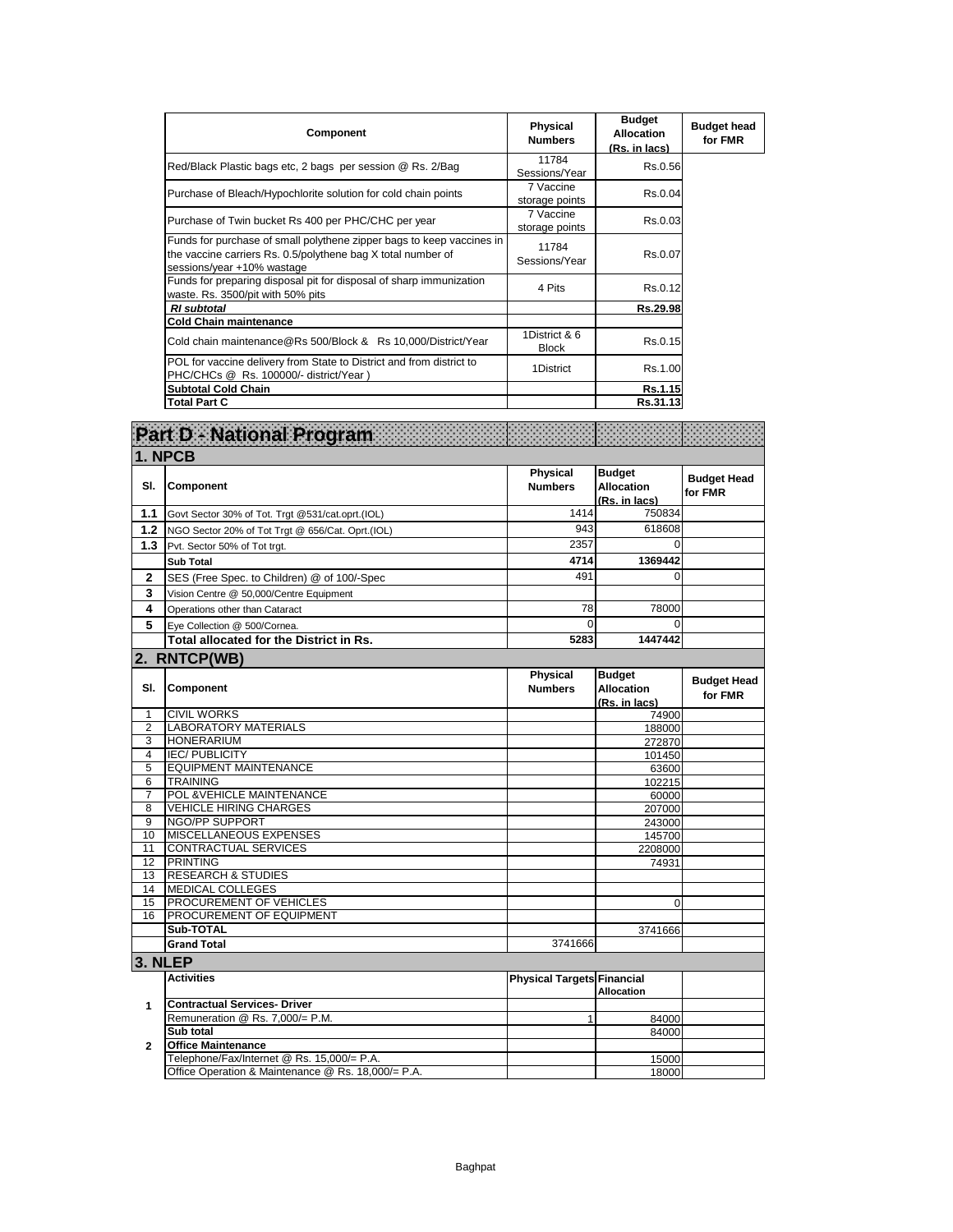| <b>Component</b>                                                                                                                                                    | Physical<br><b>Numbers</b>    | <b>Budget</b><br><b>Allocation</b><br>(Rs. in lacs) | <b>Budget head</b><br>for FMR |
|---------------------------------------------------------------------------------------------------------------------------------------------------------------------|-------------------------------|-----------------------------------------------------|-------------------------------|
| Red/Black Plastic bags etc, 2 bags per session @ Rs. 2/Bag                                                                                                          | 11784<br>Sessions/Year        | Rs.0.56                                             |                               |
| Purchase of Bleach/Hypochlorite solution for cold chain points                                                                                                      | 7 Vaccine<br>storage points   | Rs.0.04                                             |                               |
| Purchase of Twin bucket Rs 400 per PHC/CHC per year                                                                                                                 | 7 Vaccine<br>storage points   | Rs.0.03                                             |                               |
| Funds for purchase of small polythene zipper bags to keep vaccines in<br>the vaccine carriers Rs. 0.5/polythene bag X total number of<br>sessions/year +10% wastage | 11784<br>Sessions/Year        | Rs.0.07                                             |                               |
| Funds for preparing disposal pit for disposal of sharp immunization<br>waste. Rs. 3500/pit with 50% pits                                                            | 4 Pits                        | Rs.0.12                                             |                               |
| <b>RI</b> subtotal                                                                                                                                                  |                               | Rs.29.98                                            |                               |
| <b>Cold Chain maintenance</b>                                                                                                                                       |                               |                                                     |                               |
| Cold chain maintenance@Rs 500/Block & Rs 10,000/District/Year                                                                                                       | 1District & 6<br><b>Block</b> | Rs.0.15                                             |                               |
| POL for vaccine delivery from State to District and from district to<br>PHC/CHCs @ Rs. 100000/- district/Year)                                                      | 1District                     | Rs.1.00                                             |                               |
| <b>Subtotal Cold Chain</b>                                                                                                                                          |                               | Rs.1.15                                             |                               |
| <b>Total Part C</b>                                                                                                                                                 |                               | Rs.31.13                                            |                               |

|                | Part D - National Program                            | ,,,,,,,,,,,,,,,,,,,,,,,,,,,,,,<br>,,,,,,,,,,,,,,,,,,,,,,,,,,,,, |                                                     |                               |
|----------------|------------------------------------------------------|-----------------------------------------------------------------|-----------------------------------------------------|-------------------------------|
|                | 1. NPCB                                              |                                                                 |                                                     |                               |
| SI.            | Component                                            | Physical<br><b>Numbers</b>                                      | <b>Budget</b><br><b>Allocation</b><br>(Rs. in lacs) | <b>Budget Head</b><br>for FMR |
| 1.1            | Govt Sector 30% of Tot. Trgt @531/cat.oprt.(IOL)     | 1414                                                            | 750834                                              |                               |
| 1.2            | NGO Sector 20% of Tot Trgt @ 656/Cat. Oprt.(IOL)     | 943                                                             | 618608                                              |                               |
| 1.3            | Pvt. Sector 50% of Tot trgt.                         | 2357                                                            | $\mathbf 0$                                         |                               |
|                | <b>Sub Total</b>                                     | 4714                                                            | 1369442                                             |                               |
| $\mathbf{2}$   | SES (Free Spec. to Children) @ of 100/-Spec          | 491                                                             | $\Omega$                                            |                               |
| 3              | Vision Centre @ 50,000/Centre Equipment              |                                                                 |                                                     |                               |
| 4              | Operations other than Cataract                       | 78                                                              | 78000                                               |                               |
| 5              | Eye Collection @ 500/Cornea.                         | $\Omega$                                                        | $\Omega$                                            |                               |
|                | Total allocated for the District in Rs.              | 5283                                                            | 1447442                                             |                               |
|                | 2. RNTCP(WB)                                         |                                                                 |                                                     |                               |
| SI.            | Component                                            | <b>Physical</b><br><b>Numbers</b>                               | <b>Budget</b><br><b>Allocation</b><br>(Rs. in lacs) | <b>Budget Head</b><br>for FMR |
| $\mathbf{1}$   | <b>CIVIL WORKS</b>                                   |                                                                 | 74900                                               |                               |
| $\overline{2}$ | <b>LABORATORY MATERIALS</b>                          |                                                                 | 188000                                              |                               |
| 3              | <b>HONERARIUM</b>                                    |                                                                 | 272870                                              |                               |
| 4<br>5         | <b>IEC/PUBLICITY</b><br><b>EQUIPMENT MAINTENANCE</b> |                                                                 | 101450                                              |                               |
| $\overline{6}$ | <b>TRAINING</b>                                      |                                                                 | 63600<br>102215                                     |                               |
| $\overline{7}$ | POL & VEHICLE MAINTENANCE                            |                                                                 | 60000                                               |                               |
| 8              | <b>VEHICLE HIRING CHARGES</b>                        |                                                                 | 207000                                              |                               |
| 9              | NGO/PP SUPPORT                                       |                                                                 | 243000                                              |                               |
| 10             | <b>MISCELLANEOUS EXPENSES</b>                        |                                                                 | 145700                                              |                               |
| 11             | <b>CONTRACTUAL SERVICES</b>                          |                                                                 | 2208000                                             |                               |
| 12             | <b>PRINTING</b>                                      |                                                                 | 74931                                               |                               |
| 13             | <b>RESEARCH &amp; STUDIES</b>                        |                                                                 |                                                     |                               |
| 14<br>15       | <b>MEDICAL COLLEGES</b><br>PROCUREMENT OF VEHICLES   |                                                                 | 0                                                   |                               |
| 16             | PROCUREMENT OF EQUIPMENT                             |                                                                 |                                                     |                               |
|                | Sub-TOTAL                                            |                                                                 | 3741666                                             |                               |
|                | <b>Grand Total</b>                                   | 3741666                                                         |                                                     |                               |
| 3. NLEP        |                                                      |                                                                 |                                                     |                               |
|                | <b>Activities</b>                                    | <b>Physical Targets Financial</b>                               | <b>Allocation</b>                                   |                               |
| 1              | <b>Contractual Services- Driver</b>                  |                                                                 |                                                     |                               |
|                | Remuneration @ Rs. 7,000/= P.M.                      | $\mathbf{1}$                                                    | 84000                                               |                               |
|                | Sub total                                            |                                                                 | 84000                                               |                               |
| $\mathbf{2}$   | <b>Office Maintenance</b>                            |                                                                 |                                                     |                               |
|                | Telephone/Fax/Internet @ Rs. 15,000/= P.A.           |                                                                 | 15000                                               |                               |
|                | Office Operation & Maintenance @ Rs. 18,000/= P.A.   |                                                                 | 18000                                               |                               |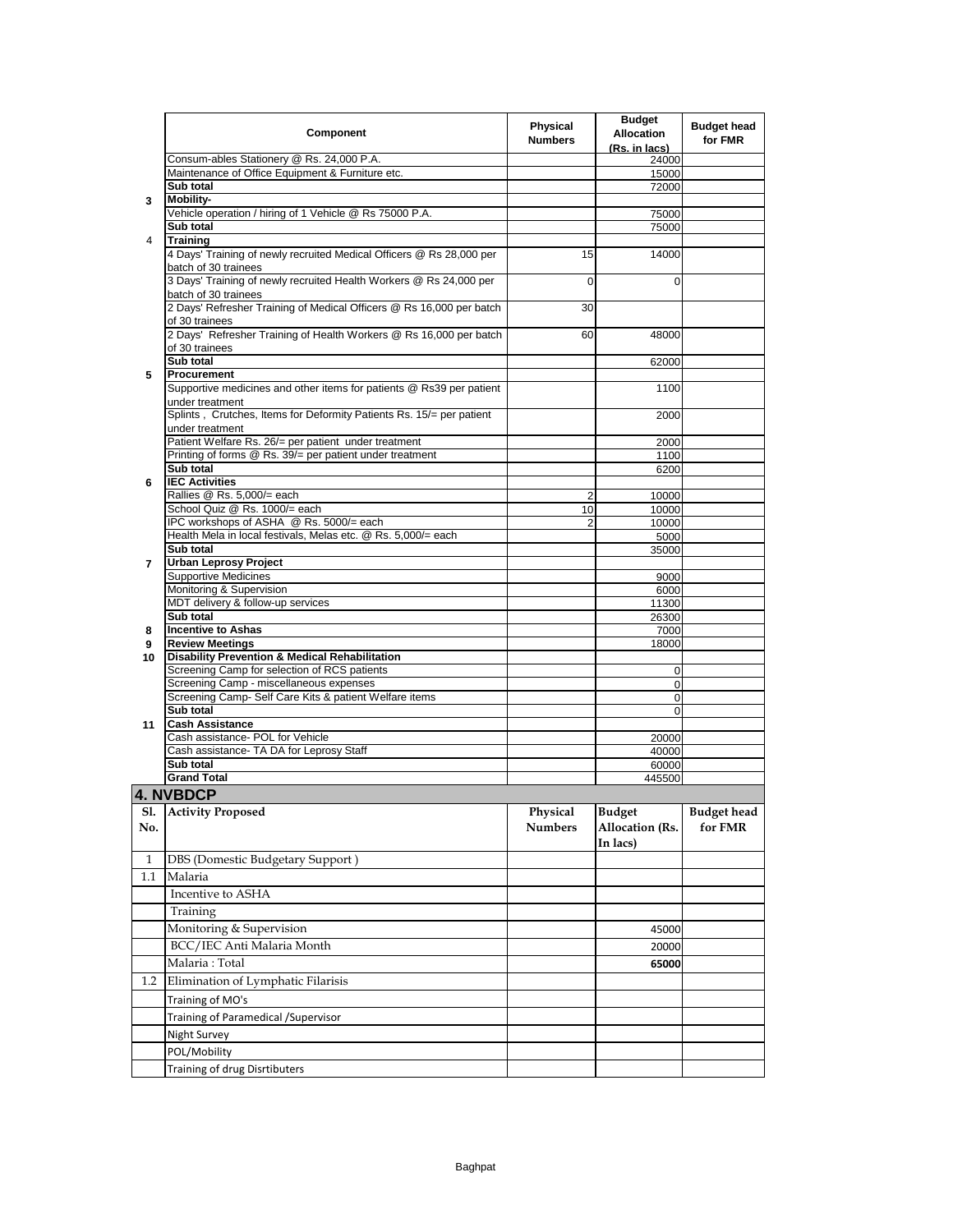|                | Component                                                                                    | Physical<br><b>Numbers</b> | <b>Budget</b><br><b>Allocation</b><br>(Rs. in lacs) | <b>Budget head</b><br>for FMR |
|----------------|----------------------------------------------------------------------------------------------|----------------------------|-----------------------------------------------------|-------------------------------|
|                | Consum-ables Stationery @ Rs. 24,000 P.A.                                                    |                            | 24000                                               |                               |
|                | Maintenance of Office Equipment & Furniture etc.<br>Sub total                                |                            | 15000<br>72000                                      |                               |
| 3              | <b>Mobility-</b>                                                                             |                            |                                                     |                               |
|                | Vehicle operation / hiring of 1 Vehicle @ Rs 75000 P.A.                                      |                            | 75000                                               |                               |
|                | Sub total                                                                                    |                            | 75000                                               |                               |
| 4              | <b>Training</b>                                                                              |                            |                                                     |                               |
|                | 4 Days' Training of newly recruited Medical Officers @ Rs 28,000 per<br>batch of 30 trainees | 15                         | 14000                                               |                               |
|                | 3 Days' Training of newly recruited Health Workers @ Rs 24,000 per<br>batch of 30 trainees   | 0                          | 0                                                   |                               |
|                | 2 Days' Refresher Training of Medical Officers @ Rs 16,000 per batch<br>of 30 trainees       | 30                         |                                                     |                               |
|                | 2 Days' Refresher Training of Health Workers @ Rs 16,000 per batch<br>of 30 trainees         | 60                         | 48000                                               |                               |
|                | Sub total                                                                                    |                            | 62000                                               |                               |
| 5              | Procurement                                                                                  |                            |                                                     |                               |
|                | Supportive medicines and other items for patients @ Rs39 per patient<br>under treatment      |                            | 1100                                                |                               |
|                | Splints, Crutches, Items for Deformity Patients Rs. 15/= per patient<br>under treatment      |                            | 2000                                                |                               |
|                | Patient Welfare Rs. 26/= per patient under treatment                                         |                            | 2000                                                |                               |
|                | Printing of forms @ Rs. 39/= per patient under treatment<br>Sub total                        |                            | 1100<br>6200                                        |                               |
| 6              | <b>IEC Activities</b>                                                                        |                            |                                                     |                               |
|                | Rallies @ Rs. 5,000/= each                                                                   | 2                          | 10000                                               |                               |
|                | School Quiz @ Rs. 1000/= each                                                                | 10                         | 10000                                               |                               |
|                | IPC workshops of ASHA @ Rs. 5000/= each                                                      | 2                          | 10000                                               |                               |
|                | Health Mela in local festivals, Melas etc. @ Rs. 5,000/= each<br>Sub total                   |                            | 5000                                                |                               |
| $\overline{7}$ | <b>Urban Leprosy Project</b>                                                                 |                            | 35000                                               |                               |
|                | <b>Supportive Medicines</b>                                                                  |                            | 9000                                                |                               |
|                | Monitoring & Supervision                                                                     |                            | 6000                                                |                               |
|                | MDT delivery & follow-up services                                                            |                            | 11300                                               |                               |
| 8              | Sub total<br><b>Incentive to Ashas</b>                                                       |                            | 26300<br>7000                                       |                               |
| 9              | <b>Review Meetings</b>                                                                       |                            | 18000                                               |                               |
| 10             | <b>Disability Prevention &amp; Medical Rehabilitation</b>                                    |                            |                                                     |                               |
|                | Screening Camp for selection of RCS patients                                                 |                            | 0                                                   |                               |
|                | Screening Camp - miscellaneous expenses                                                      |                            | 0                                                   |                               |
|                | Screening Camp- Self Care Kits & patient Welfare items<br>Sub total                          |                            | $\mathbf 0$<br>$\mathbf 0$                          |                               |
| 11             | <b>Cash Assistance</b>                                                                       |                            |                                                     |                               |
|                | Cash assistance- POL for Vehicle                                                             |                            | 20000                                               |                               |
|                | Cash assistance- TA DA for Leprosy Staff                                                     |                            | 40000                                               |                               |
|                | Sub total                                                                                    |                            | 60000                                               |                               |
|                | <b>Grand Total</b>                                                                           |                            | 445500                                              |                               |
|                | <b>4. NVBDCP</b>                                                                             |                            |                                                     |                               |
| SI.<br>No.     | <b>Activity Proposed</b>                                                                     | Physical<br><b>Numbers</b> | Budget<br><b>Allocation (Rs.</b><br>In lacs)        | Budget head<br>for FMR        |
| 1              | DBS (Domestic Budgetary Support)                                                             |                            |                                                     |                               |
| $1.1\,$        | Malaria                                                                                      |                            |                                                     |                               |
|                | Incentive to ASHA                                                                            |                            |                                                     |                               |
|                | Training                                                                                     |                            |                                                     |                               |
|                | Monitoring & Supervision                                                                     |                            | 45000                                               |                               |
|                | BCC/IEC Anti Malaria Month                                                                   |                            | 20000                                               |                               |
|                | Malaria: Total                                                                               |                            | 65000                                               |                               |
| $1.2\,$        | Elimination of Lymphatic Filarisis                                                           |                            |                                                     |                               |
|                | Training of MO's                                                                             |                            |                                                     |                               |
|                | Training of Paramedical / Supervisor                                                         |                            |                                                     |                               |
|                | Night Survey                                                                                 |                            |                                                     |                               |
|                | POL/Mobility                                                                                 |                            |                                                     |                               |
|                | Training of drug Disrtibuters                                                                |                            |                                                     |                               |
|                |                                                                                              |                            |                                                     |                               |